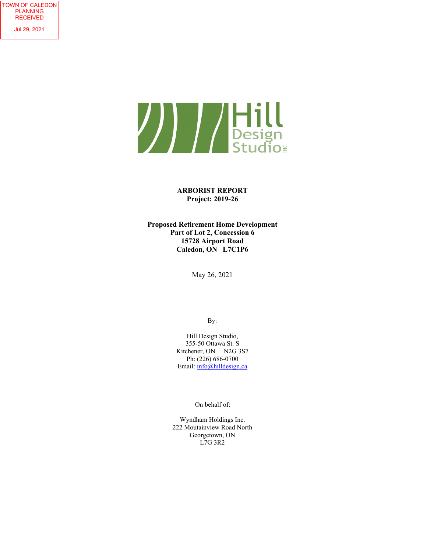

**ARBORIST REPORT Project: 2019-26** 

**Proposed Retirement Home Development Part of Lot 2, Concession 6 15728 Airport Road Caledon, ON L7C1P6** 

May 26, 2021

By:

Hill Design Studio, 355-50 Ottawa St. S Kitchener, ON N2G 3S7 Ph: (226) 686-0700 Email: info@hilldesign.ca

On behalf of:

Wyndham Holdings Inc. 222 Moutainview Road North Georgetown, ON L7G 3R2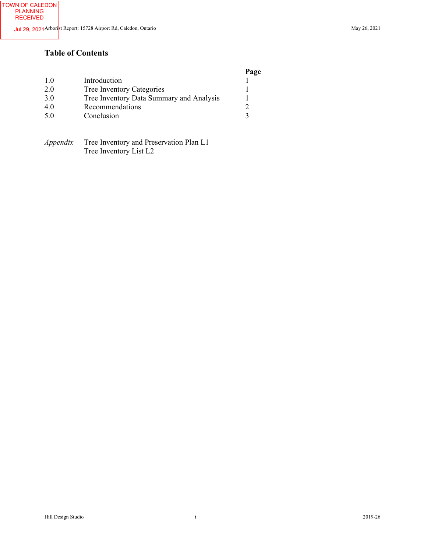# **Table of Contents**

#### **Page**

| 1.0 | Introduction                             |  |
|-----|------------------------------------------|--|
| 2.0 | Tree Inventory Categories                |  |
| 3.0 | Tree Inventory Data Summary and Analysis |  |
| 4.0 | Recommendations                          |  |
| 5.0 | Conclusion                               |  |
|     |                                          |  |

*Appendix* Tree Inventory and Preservation Plan L1 Tree Inventory List L2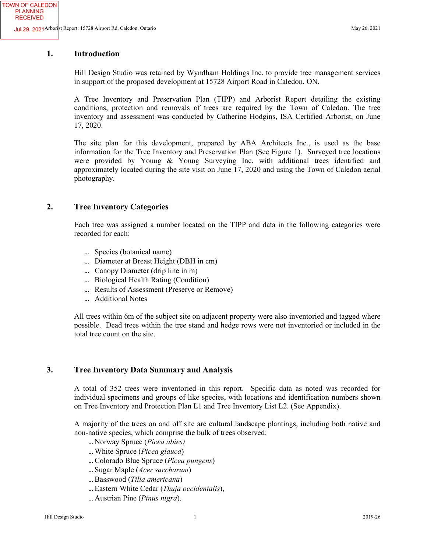TOWN OF CALEDON PLANNING RECEIVED

# **1. Introduction**

Hill Design Studio was retained by Wyndham Holdings Inc. to provide tree management services in support of the proposed development at 15728 Airport Road in Caledon, ON.

A Tree Inventory and Preservation Plan (TIPP) and Arborist Report detailing the existing conditions, protection and removals of trees are required by the Town of Caledon. The tree inventory and assessment was conducted by Catherine Hodgins, ISA Certified Arborist, on June 17, 2020.

The site plan for this development, prepared by ABA Architects Inc., is used as the base information for the Tree Inventory and Preservation Plan (See Figure 1). Surveyed tree locations were provided by Young & Young Surveying Inc. with additional trees identified and approximately located during the site visit on June 17, 2020 and using the Town of Caledon aerial photography.

# **2. Tree Inventory Categories**

Each tree was assigned a number located on the TIPP and data in the following categories were recorded for each:

- Species (botanical name)
- Diameter at Breast Height (DBH in cm)
- ... Canopy Diameter (drip line in m)
- ... Biological Health Rating (Condition)
- ... Results of Assessment (Preserve or Remove)
- ... Additional Notes

All trees within 6m of the subject site on adjacent property were also inventoried and tagged where possible. Dead trees within the tree stand and hedge rows were not inventoried or included in the total tree count on the site.

#### **3. Tree Inventory Data Summary and Analysis**

A total of 352 trees were inventoried in this report. Specific data as noted was recorded for individual specimens and groups of like species, with locations and identification numbers shown on Tree Inventory and Protection Plan L1 and Tree Inventory List L2. (See Appendix).

A majority of the trees on and off site are cultural landscape plantings, including both native and non-native species, which comprise the bulk of trees observed:

- Norway Spruce (*Picea abies)*
- White Spruce (*Picea glauca*)
- Colorado Blue Spruce (*Picea pungens*)
- Sugar Maple (*Acer saccharum*)
- Basswood (*Tilia americana*)
- Eastern White Cedar (*Thuja occidentalis*),
- Austrian Pine (*Pinus nigra*).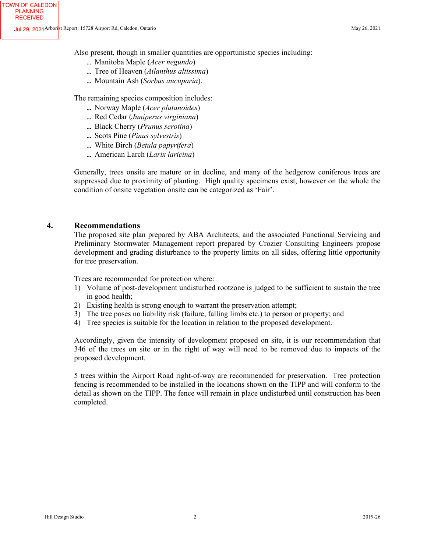Also present, though in smaller quantities are opportunistic species including:

- Manitoba Maple (*Acer negundo*)
- Tree of Heaven (*Ailanthus altissima*)
- Mountain Ash (*Sorbus aucuparia*).

The remaining species composition includes:

- Norway Maple (*Acer platanoides*)
- Red Cedar (*Juniperus virginiana*)
- Black Cherry (*Prunus serotina*)
- Scots Pine (*Pinus sylvestris*)
- White Birch (*Betula papyrifera*)
- American Larch (*Larix laricina*)

Generally, trees onsite are mature or in decline, and many of the hedgerow coniferous trees are suppressed due to proximity of planting. High quality specimens exist, however on the whole the condition of onsite vegetation onsite can be categorized as 'Fair'.

#### **4. Recommendations**

The proposed site plan prepared by ABA Architects, and the associated Functional Servicing and Preliminary Stormwater Management report prepared by Crozier Consulting Engineers propose development and grading disturbance to the property limits on all sides, offering little opportunity for tree preservation.

Trees are recommended for protection where:

- 1) Volume of post-development undisturbed rootzone is judged to be sufficient to sustain the tree in good health;
- 2) Existing health is strong enough to warrant the preservation attempt;
- 3) The tree poses no liability risk (failure, falling limbs etc.) to person or property; and
- 4) Tree species is suitable for the location in relation to the proposed development.

Accordingly, given the intensity of development proposed on site, it is our recommendation that 346 of the trees on site or in the right of way will need to be removed due to impacts of the proposed development.

5 trees within the Airport Road right-of-way are recommended for preservation. Tree protection fencing is recommended to be installed in the locations shown on the TIPP and will conform to the detail as shown on the TIPP. The fence will remain in place undisturbed until construction has been completed.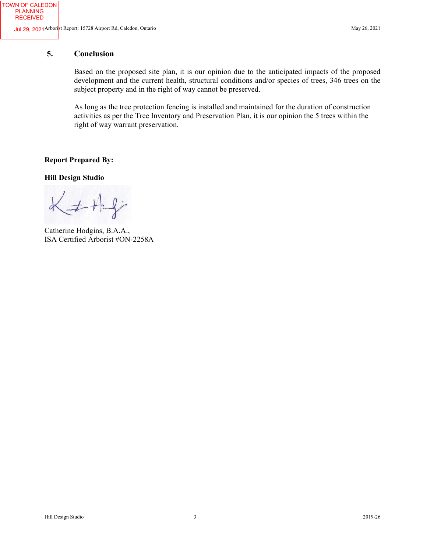TOWN OF CALEDON PLANNING RECEIVED

# **5. Conclusion**

Based on the proposed site plan, it is our opinion due to the anticipated impacts of the proposed development and the current health, structural conditions and/or species of trees, 346 trees on the subject property and in the right of way cannot be preserved.

As long as the tree protection fencing is installed and maintained for the duration of construction activities as per the Tree Inventory and Preservation Plan, it is our opinion the 5 trees within the right of way warrant preservation.

**Report Prepared By:** 

**Hill Design Studio** 

 $K \neq H \$ 

Catherine Hodgins, B.A.A., ISA Certified Arborist #ON-2258A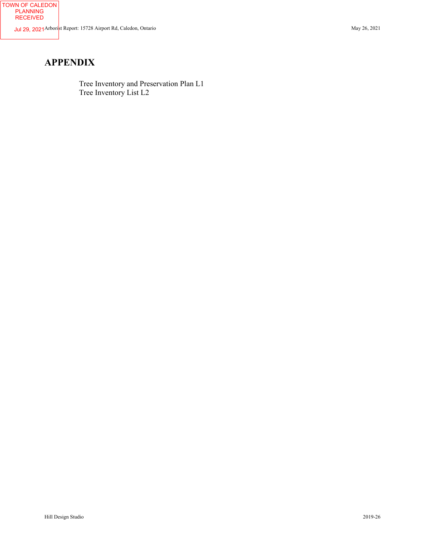# **APPENDIX**

TOWN OF CALEDON PLANNING RECEIVED

> Tree Inventory and Preservation Plan L1 Tree Inventory List L2